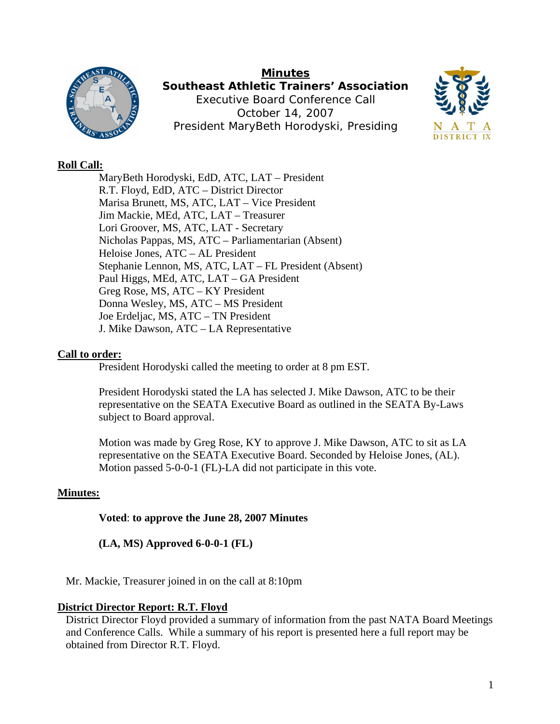

**Minutes Southeast Athletic Trainers' Association**  Executive Board Conference Call October 14, 2007 President MaryBeth Horodyski, Presiding



## **Roll Call:**

 MaryBeth Horodyski, EdD, ATC, LAT – President R.T. Floyd, EdD, ATC – District Director Marisa Brunett, MS, ATC, LAT – Vice President Jim Mackie, MEd, ATC, LAT – Treasurer Lori Groover, MS, ATC, LAT - Secretary Nicholas Pappas, MS, ATC – Parliamentarian (Absent) Heloise Jones, ATC – AL President Stephanie Lennon, MS, ATC, LAT – FL President (Absent) Paul Higgs, MEd, ATC, LAT – GA President Greg Rose, MS, ATC – KY President Donna Wesley, MS, ATC – MS President Joe Erdeljac, MS, ATC – TN President J. Mike Dawson, ATC – LA Representative

## **Call to order:**

President Horodyski called the meeting to order at 8 pm EST.

President Horodyski stated the LA has selected J. Mike Dawson, ATC to be their representative on the SEATA Executive Board as outlined in the SEATA By-Laws subject to Board approval.

Motion was made by Greg Rose, KY to approve J. Mike Dawson, ATC to sit as LA representative on the SEATA Executive Board. Seconded by Heloise Jones, (AL). Motion passed 5-0-0-1 (FL)-LA did not participate in this vote.

## **Minutes:**

**Voted**: **to approve the June 28, 2007 Minutes** 

## **(LA, MS) Approved 6-0-0-1 (FL)**

Mr. Mackie, Treasurer joined in on the call at 8:10pm

## **District Director Report: R.T. Floyd**

District Director Floyd provided a summary of information from the past NATA Board Meetings and Conference Calls. While a summary of his report is presented here a full report may be obtained from Director R.T. Floyd.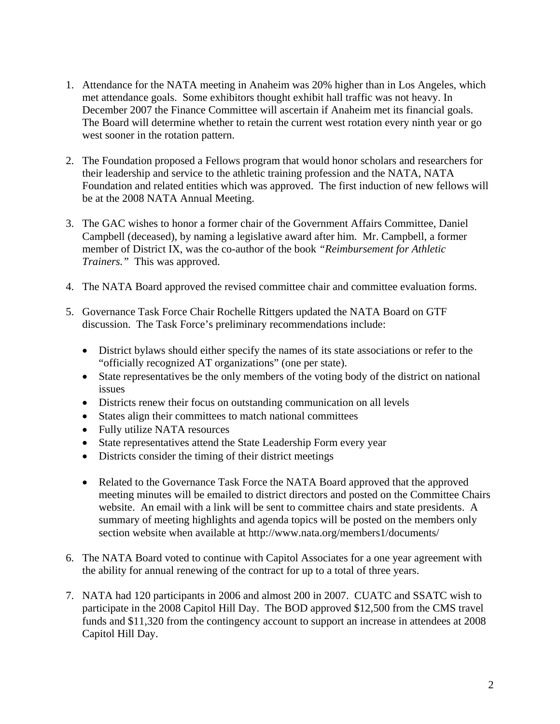- 1. Attendance for the NATA meeting in Anaheim was 20% higher than in Los Angeles, which met attendance goals. Some exhibitors thought exhibit hall traffic was not heavy. In December 2007 the Finance Committee will ascertain if Anaheim met its financial goals. The Board will determine whether to retain the current west rotation every ninth year or go west sooner in the rotation pattern.
- 2. The Foundation proposed a Fellows program that would honor scholars and researchers for their leadership and service to the athletic training profession and the NATA, NATA Foundation and related entities which was approved. The first induction of new fellows will be at the 2008 NATA Annual Meeting.
- 3. The GAC wishes to honor a former chair of the Government Affairs Committee, Daniel Campbell (deceased), by naming a legislative award after him. Mr. Campbell, a former member of District IX, was the co-author of the book *"Reimbursement for Athletic Trainers."* This was approved.
- 4. The NATA Board approved the revised committee chair and committee evaluation forms.
- 5. Governance Task Force Chair Rochelle Rittgers updated the NATA Board on GTF discussion. The Task Force's preliminary recommendations include:
	- District bylaws should either specify the names of its state associations or refer to the "officially recognized AT organizations" (one per state).
	- State representatives be the only members of the voting body of the district on national issues
	- Districts renew their focus on outstanding communication on all levels
	- States align their committees to match national committees
	- Fully utilize NATA resources
	- State representatives attend the State Leadership Form every year
	- Districts consider the timing of their district meetings
	- Related to the Governance Task Force the NATA Board approved that the approved meeting minutes will be emailed to district directors and posted on the Committee Chairs website. An email with a link will be sent to committee chairs and state presidents. A summary of meeting highlights and agenda topics will be posted on the members only section website when available at http://www.nata.org/members1/documents/
- 6. The NATA Board voted to continue with Capitol Associates for a one year agreement with the ability for annual renewing of the contract for up to a total of three years.
- 7. NATA had 120 participants in 2006 and almost 200 in 2007. CUATC and SSATC wish to participate in the 2008 Capitol Hill Day. The BOD approved \$12,500 from the CMS travel funds and \$11,320 from the contingency account to support an increase in attendees at 2008 Capitol Hill Day.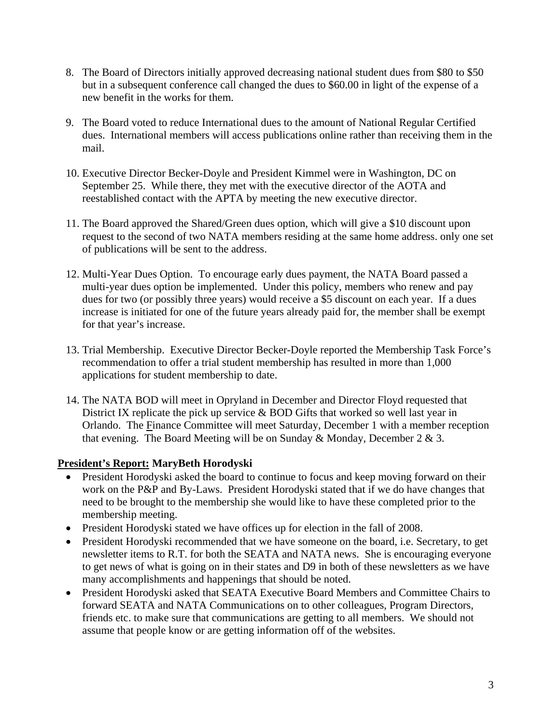- 8. The Board of Directors initially approved decreasing national student dues from \$80 to \$50 but in a subsequent conference call changed the dues to \$60.00 in light of the expense of a new benefit in the works for them.
- 9. The Board voted to reduce International dues to the amount of National Regular Certified dues. International members will access publications online rather than receiving them in the mail.
- 10. Executive Director Becker-Doyle and President Kimmel were in Washington, DC on September 25. While there, they met with the executive director of the AOTA and reestablished contact with the APTA by meeting the new executive director.
- 11. The Board approved the Shared/Green dues option, which will give a \$10 discount upon request to the second of two NATA members residing at the same home address. only one set of publications will be sent to the address.
- 12. Multi-Year Dues Option. To encourage early dues payment, the NATA Board passed a multi-year dues option be implemented. Under this policy, members who renew and pay dues for two (or possibly three years) would receive a \$5 discount on each year. If a dues increase is initiated for one of the future years already paid for, the member shall be exempt for that year's increase.
- 13. Trial Membership. Executive Director Becker-Doyle reported the Membership Task Force's recommendation to offer a trial student membership has resulted in more than 1,000 applications for student membership to date.
- 14. The NATA BOD will meet in Opryland in December and Director Floyd requested that District IX replicate the pick up service & BOD Gifts that worked so well last year in Orlando. The Finance Committee will meet Saturday, December 1 with a member reception that evening. The Board Meeting will be on Sunday & Monday, December 2 & 3.

# **President's Report: MaryBeth Horodyski**

- President Horodyski asked the board to continue to focus and keep moving forward on their work on the P&P and By-Laws. President Horodyski stated that if we do have changes that need to be brought to the membership she would like to have these completed prior to the membership meeting.
- President Horodyski stated we have offices up for election in the fall of 2008.
- President Horodyski recommended that we have someone on the board, i.e. Secretary, to get newsletter items to R.T. for both the SEATA and NATA news. She is encouraging everyone to get news of what is going on in their states and D9 in both of these newsletters as we have many accomplishments and happenings that should be noted.
- President Horodyski asked that SEATA Executive Board Members and Committee Chairs to forward SEATA and NATA Communications on to other colleagues, Program Directors, friends etc. to make sure that communications are getting to all members. We should not assume that people know or are getting information off of the websites.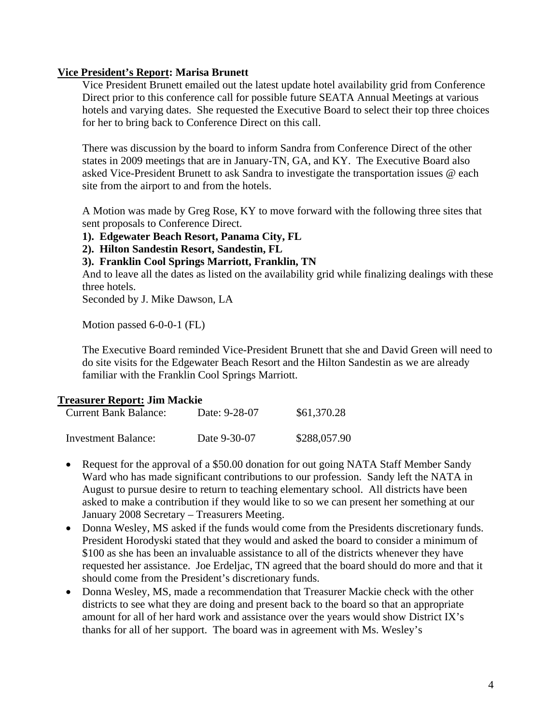#### **Vice President's Report: Marisa Brunett**

Vice President Brunett emailed out the latest update hotel availability grid from Conference Direct prior to this conference call for possible future SEATA Annual Meetings at various hotels and varying dates. She requested the Executive Board to select their top three choices for her to bring back to Conference Direct on this call.

There was discussion by the board to inform Sandra from Conference Direct of the other states in 2009 meetings that are in January-TN, GA, and KY. The Executive Board also asked Vice-President Brunett to ask Sandra to investigate the transportation issues @ each site from the airport to and from the hotels.

A Motion was made by Greg Rose, KY to move forward with the following three sites that sent proposals to Conference Direct.

- **1). Edgewater Beach Resort, Panama City, FL**
- **2). Hilton Sandestin Resort, Sandestin, FL**
- **3). Franklin Cool Springs Marriott, Franklin, TN**

And to leave all the dates as listed on the availability grid while finalizing dealings with these three hotels.

Seconded by J. Mike Dawson, LA

Motion passed 6-0-0-1 (FL)

The Executive Board reminded Vice-President Brunett that she and David Green will need to do site visits for the Edgewater Beach Resort and the Hilton Sandestin as we are already familiar with the Franklin Cool Springs Marriott.

## **Treasurer Report: Jim Mackie**

| Current Bank Balance: | Date: 9-28-07 | \$61,370.28  |
|-----------------------|---------------|--------------|
| Investment Balance:   | Date 9-30-07  | \$288,057.90 |

- Request for the approval of a \$50.00 donation for out going NATA Staff Member Sandy Ward who has made significant contributions to our profession. Sandy left the NATA in August to pursue desire to return to teaching elementary school. All districts have been asked to make a contribution if they would like to so we can present her something at our January 2008 Secretary – Treasurers Meeting.
- Donna Wesley, MS asked if the funds would come from the Presidents discretionary funds. President Horodyski stated that they would and asked the board to consider a minimum of \$100 as she has been an invaluable assistance to all of the districts whenever they have requested her assistance. Joe Erdeljac, TN agreed that the board should do more and that it should come from the President's discretionary funds.
- Donna Wesley, MS, made a recommendation that Treasurer Mackie check with the other districts to see what they are doing and present back to the board so that an appropriate amount for all of her hard work and assistance over the years would show District IX's thanks for all of her support. The board was in agreement with Ms. Wesley's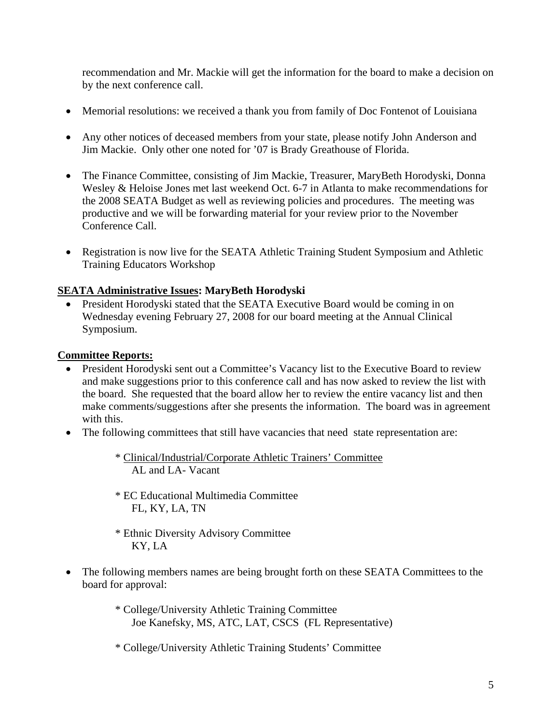recommendation and Mr. Mackie will get the information for the board to make a decision on by the next conference call.

- Memorial resolutions: we received a thank you from family of Doc Fontenot of Louisiana
- Any other notices of deceased members from your state, please notify John Anderson and Jim Mackie. Only other one noted for '07 is Brady Greathouse of Florida.
- The Finance Committee, consisting of Jim Mackie, Treasurer, MaryBeth Horodyski, Donna Wesley & Heloise Jones met last weekend Oct. 6-7 in Atlanta to make recommendations for the 2008 SEATA Budget as well as reviewing policies and procedures. The meeting was productive and we will be forwarding material for your review prior to the November Conference Call.
- Registration is now live for the SEATA Athletic Training Student Symposium and Athletic Training Educators Workshop

# **SEATA Administrative Issues: MaryBeth Horodyski**

• President Horodyski stated that the SEATA Executive Board would be coming in on Wednesday evening February 27, 2008 for our board meeting at the Annual Clinical Symposium.

## **Committee Reports:**

- President Horodyski sent out a Committee's Vacancy list to the Executive Board to review and make suggestions prior to this conference call and has now asked to review the list with the board. She requested that the board allow her to review the entire vacancy list and then make comments/suggestions after she presents the information. The board was in agreement with this.
- The following committees that still have vacancies that need state representation are:

\* Clinical/Industrial/Corporate Athletic Trainers' Committee AL and LA- Vacant

- \* EC Educational Multimedia Committee FL, KY, LA, TN
- \* Ethnic Diversity Advisory Committee KY, LA
- The following members names are being brought forth on these SEATA Committees to the board for approval:
	- \* College/University Athletic Training Committee Joe Kanefsky, MS, ATC, LAT, CSCS (FL Representative)
	- \* College/University Athletic Training Students' Committee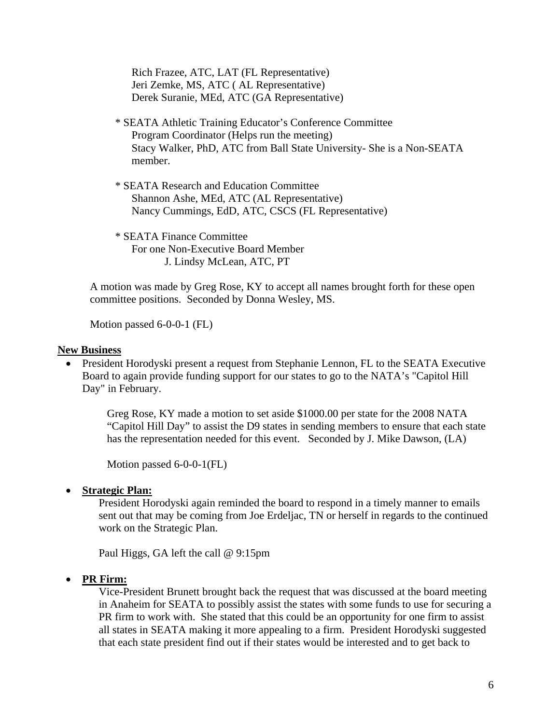Rich Frazee, ATC, LAT (FL Representative) Jeri Zemke, MS, ATC ( AL Representative) Derek Suranie, MEd, ATC (GA Representative)

- \* SEATA Athletic Training Educator's Conference Committee Program Coordinator (Helps run the meeting) Stacy Walker, PhD, ATC from Ball State University- She is a Non-SEATA member.
- \* SEATA Research and Education Committee Shannon Ashe, MEd, ATC (AL Representative) Nancy Cummings, EdD, ATC, CSCS (FL Representative)

\* SEATA Finance Committee For one Non-Executive Board Member J. Lindsy McLean, ATC, PT

A motion was made by Greg Rose, KY to accept all names brought forth for these open committee positions. Seconded by Donna Wesley, MS.

Motion passed 6-0-0-1 (FL)

#### **New Business**

• President Horodyski present a request from Stephanie Lennon, FL to the SEATA Executive Board to again provide funding support for our states to go to the NATA's "Capitol Hill Day" in February.

Greg Rose, KY made a motion to set aside \$1000.00 per state for the 2008 NATA "Capitol Hill Day" to assist the D9 states in sending members to ensure that each state has the representation needed for this event. Seconded by J. Mike Dawson, (LA)

Motion passed 6-0-0-1(FL)

#### • **Strategic Plan:**

President Horodyski again reminded the board to respond in a timely manner to emails sent out that may be coming from Joe Erdeljac, TN or herself in regards to the continued work on the Strategic Plan.

Paul Higgs, GA left the call @ 9:15pm

• **PR Firm:**

Vice-President Brunett brought back the request that was discussed at the board meeting in Anaheim for SEATA to possibly assist the states with some funds to use for securing a PR firm to work with. She stated that this could be an opportunity for one firm to assist all states in SEATA making it more appealing to a firm. President Horodyski suggested that each state president find out if their states would be interested and to get back to